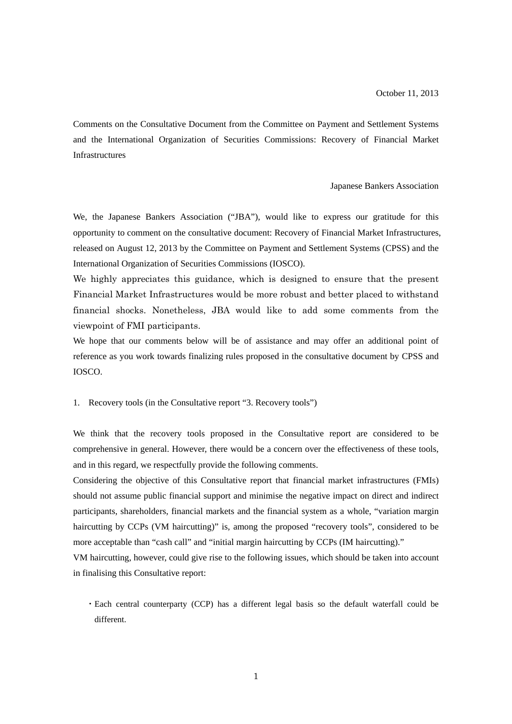Comments on the Consultative Document from the Committee on Payment and Settlement Systems and the International Organization of Securities Commissions: Recovery of Financial Market Infrastructures

Japanese Bankers Association

We, the Japanese Bankers Association ("JBA"), would like to express our gratitude for this opportunity to comment on the consultative document: Recovery of Financial Market Infrastructures, released on August 12, 2013 by the Committee on Payment and Settlement Systems (CPSS) and the International Organization of Securities Commissions (IOSCO).

We highly appreciates this guidance, which is designed to ensure that the present Financial Market Infrastructures would be more robust and better placed to withstand financial shocks. Nonetheless, JBA would like to add some comments from the viewpoint of FMI participants.

We hope that our comments below will be of assistance and may offer an additional point of reference as you work towards finalizing rules proposed in the consultative document by CPSS and IOSCO.

1. Recovery tools (in the Consultative report "3. Recovery tools")

We think that the recovery tools proposed in the Consultative report are considered to be comprehensive in general. However, there would be a concern over the effectiveness of these tools, and in this regard, we respectfully provide the following comments.

Considering the objective of this Consultative report that financial market infrastructures (FMIs) should not assume public financial support and minimise the negative impact on direct and indirect participants, shareholders, financial markets and the financial system as a whole, "variation margin haircutting by CCPs (VM haircutting)" is, among the proposed "recovery tools", considered to be more acceptable than "cash call" and "initial margin haircutting by CCPs (IM haircutting)."

VM haircutting, however, could give rise to the following issues, which should be taken into account in finalising this Consultative report:

・Each central counterparty (CCP) has a different legal basis so the default waterfall could be different.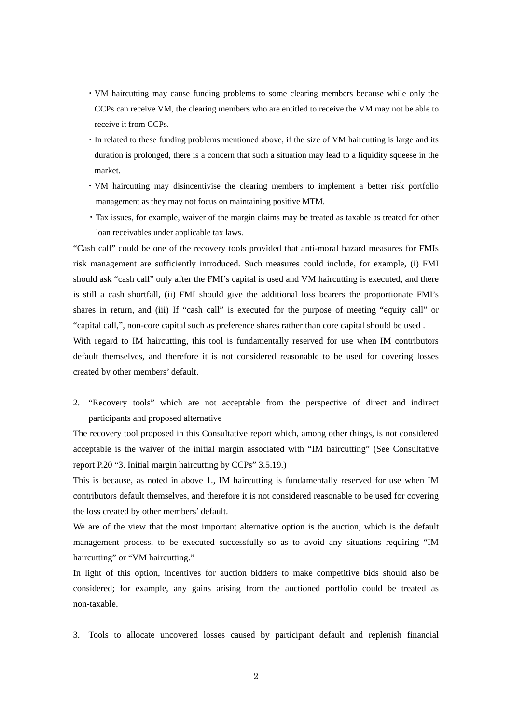- ・VM haircutting may cause funding problems to some clearing members because while only the CCPs can receive VM, the clearing members who are entitled to receive the VM may not be able to receive it from CCPs.
- ・In related to these funding problems mentioned above, if the size of VM haircutting is large and its duration is prolonged, there is a concern that such a situation may lead to a liquidity squeese in the market.
- ・VM haircutting may disincentivise the clearing members to implement a better risk portfolio management as they may not focus on maintaining positive MTM.
- ・Tax issues, for example, waiver of the margin claims may be treated as taxable as treated for other loan receivables under applicable tax laws.

"Cash call" could be one of the recovery tools provided that anti-moral hazard measures for FMIs risk management are sufficiently introduced. Such measures could include, for example, (i) FMI should ask "cash call" only after the FMI's capital is used and VM haircutting is executed, and there is still a cash shortfall, (ii) FMI should give the additional loss bearers the proportionate FMI's shares in return, and (iii) If "cash call" is executed for the purpose of meeting "equity call" or "capital call,", non-core capital such as preference shares rather than core capital should be used .

With regard to IM haircutting, this tool is fundamentally reserved for use when IM contributors default themselves, and therefore it is not considered reasonable to be used for covering losses created by other members' default.

2. "Recovery tools" which are not acceptable from the perspective of direct and indirect participants and proposed alternative

The recovery tool proposed in this Consultative report which, among other things, is not considered acceptable is the waiver of the initial margin associated with "IM haircutting" (See Consultative report P.20 "3. Initial margin haircutting by CCPs" 3.5.19.)

This is because, as noted in above 1., IM haircutting is fundamentally reserved for use when IM contributors default themselves, and therefore it is not considered reasonable to be used for covering the loss created by other members' default.

We are of the view that the most important alternative option is the auction, which is the default management process, to be executed successfully so as to avoid any situations requiring "IM haircutting" or "VM haircutting."

In light of this option, incentives for auction bidders to make competitive bids should also be considered; for example, any gains arising from the auctioned portfolio could be treated as non-taxable.

3. Tools to allocate uncovered losses caused by participant default and replenish financial